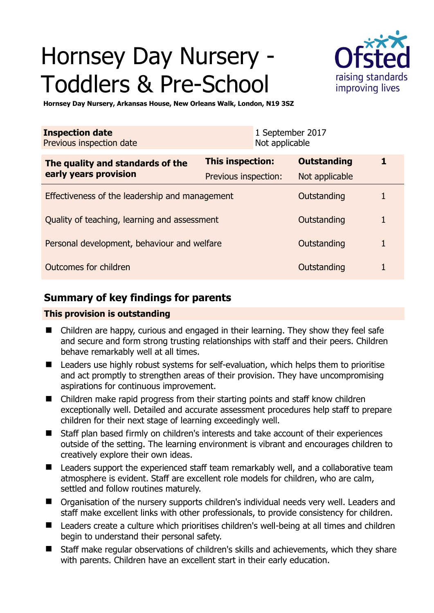# Hornsey Day Nursery - Toddlers & Pre-School



**Hornsey Day Nursery, Arkansas House, New Orleans Walk, London, N19 3SZ** 

| <b>Inspection date</b><br>Previous inspection date        |                         | 1 September 2017<br>Not applicable |   |
|-----------------------------------------------------------|-------------------------|------------------------------------|---|
| The quality and standards of the<br>early years provision | <b>This inspection:</b> | <b>Outstanding</b>                 | 1 |
|                                                           | Previous inspection:    | Not applicable                     |   |
| Effectiveness of the leadership and management            |                         | Outstanding                        |   |
| Quality of teaching, learning and assessment              |                         | Outstanding                        | 1 |
| Personal development, behaviour and welfare               |                         | Outstanding                        | 1 |
| Outcomes for children                                     |                         | Outstanding                        | 1 |

## **Summary of key findings for parents**

## **This provision is outstanding**

- Children are happy, curious and engaged in their learning. They show they feel safe and secure and form strong trusting relationships with staff and their peers. Children behave remarkably well at all times.
- Leaders use highly robust systems for self-evaluation, which helps them to prioritise and act promptly to strengthen areas of their provision. They have uncompromising aspirations for continuous improvement.
- Children make rapid progress from their starting points and staff know children exceptionally well. Detailed and accurate assessment procedures help staff to prepare children for their next stage of learning exceedingly well.
- Staff plan based firmly on children's interests and take account of their experiences outside of the setting. The learning environment is vibrant and encourages children to creatively explore their own ideas.
- Leaders support the experienced staff team remarkably well, and a collaborative team atmosphere is evident. Staff are excellent role models for children, who are calm, settled and follow routines maturely.
- Organisation of the nursery supports children's individual needs very well. Leaders and staff make excellent links with other professionals, to provide consistency for children.
- Leaders create a culture which prioritises children's well-being at all times and children begin to understand their personal safety.
- Staff make regular observations of children's skills and achievements, which they share with parents. Children have an excellent start in their early education.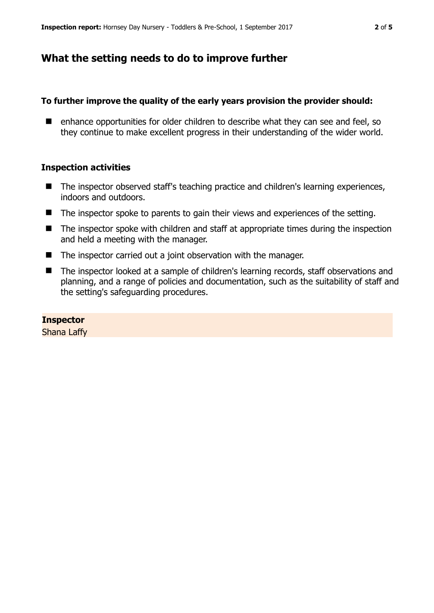## **What the setting needs to do to improve further**

## **To further improve the quality of the early years provision the provider should:**

■ enhance opportunities for older children to describe what they can see and feel, so they continue to make excellent progress in their understanding of the wider world.

### **Inspection activities**

- The inspector observed staff's teaching practice and children's learning experiences, indoors and outdoors.
- The inspector spoke to parents to gain their views and experiences of the setting.
- The inspector spoke with children and staff at appropriate times during the inspection and held a meeting with the manager.
- The inspector carried out a joint observation with the manager.
- The inspector looked at a sample of children's learning records, staff observations and planning, and a range of policies and documentation, such as the suitability of staff and the setting's safeguarding procedures.

#### **Inspector**

Shana Laffy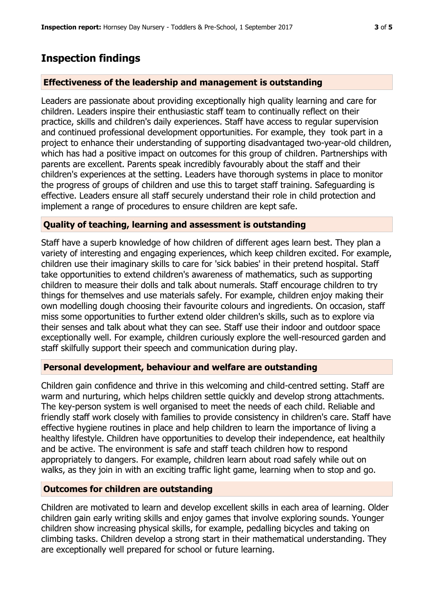## **Inspection findings**

## **Effectiveness of the leadership and management is outstanding**

Leaders are passionate about providing exceptionally high quality learning and care for children. Leaders inspire their enthusiastic staff team to continually reflect on their practice, skills and children's daily experiences. Staff have access to regular supervision and continued professional development opportunities. For example, they took part in a project to enhance their understanding of supporting disadvantaged two-year-old children, which has had a positive impact on outcomes for this group of children. Partnerships with parents are excellent. Parents speak incredibly favourably about the staff and their children's experiences at the setting. Leaders have thorough systems in place to monitor the progress of groups of children and use this to target staff training. Safeguarding is effective. Leaders ensure all staff securely understand their role in child protection and implement a range of procedures to ensure children are kept safe.

### **Quality of teaching, learning and assessment is outstanding**

Staff have a superb knowledge of how children of different ages learn best. They plan a variety of interesting and engaging experiences, which keep children excited. For example, children use their imaginary skills to care for 'sick babies' in their pretend hospital. Staff take opportunities to extend children's awareness of mathematics, such as supporting children to measure their dolls and talk about numerals. Staff encourage children to try things for themselves and use materials safely. For example, children enjoy making their own modelling dough choosing their favourite colours and ingredients. On occasion, staff miss some opportunities to further extend older children's skills, such as to explore via their senses and talk about what they can see. Staff use their indoor and outdoor space exceptionally well. For example, children curiously explore the well-resourced garden and staff skilfully support their speech and communication during play.

#### **Personal development, behaviour and welfare are outstanding**

Children gain confidence and thrive in this welcoming and child-centred setting. Staff are warm and nurturing, which helps children settle quickly and develop strong attachments. The key-person system is well organised to meet the needs of each child. Reliable and friendly staff work closely with families to provide consistency in children's care. Staff have effective hygiene routines in place and help children to learn the importance of living a healthy lifestyle. Children have opportunities to develop their independence, eat healthily and be active. The environment is safe and staff teach children how to respond appropriately to dangers. For example, children learn about road safely while out on walks, as they join in with an exciting traffic light game, learning when to stop and go.

#### **Outcomes for children are outstanding**

Children are motivated to learn and develop excellent skills in each area of learning. Older children gain early writing skills and enjoy games that involve exploring sounds. Younger children show increasing physical skills, for example, pedalling bicycles and taking on climbing tasks. Children develop a strong start in their mathematical understanding. They are exceptionally well prepared for school or future learning.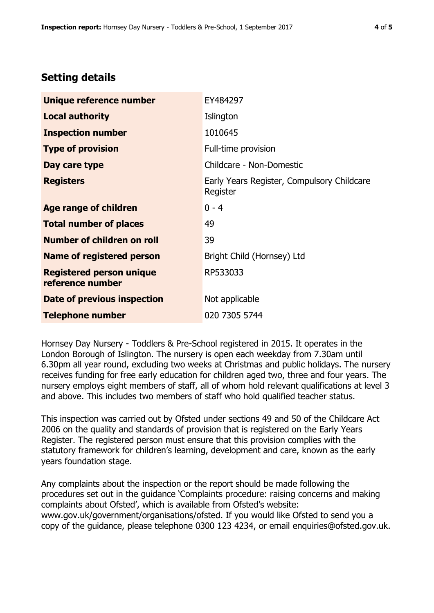## **Setting details**

| Unique reference number                             | EY484297                                               |  |
|-----------------------------------------------------|--------------------------------------------------------|--|
| <b>Local authority</b>                              | Islington                                              |  |
| <b>Inspection number</b>                            | 1010645                                                |  |
| <b>Type of provision</b>                            | Full-time provision                                    |  |
| Day care type                                       | Childcare - Non-Domestic                               |  |
| <b>Registers</b>                                    | Early Years Register, Compulsory Childcare<br>Register |  |
| Age range of children                               | $0 - 4$                                                |  |
| <b>Total number of places</b>                       | 49                                                     |  |
| Number of children on roll                          | 39                                                     |  |
| Name of registered person                           | Bright Child (Hornsey) Ltd                             |  |
| <b>Registered person unique</b><br>reference number | RP533033                                               |  |
| Date of previous inspection                         | Not applicable                                         |  |
| <b>Telephone number</b>                             | 020 7305 5744                                          |  |

Hornsey Day Nursery - Toddlers & Pre-School registered in 2015. It operates in the London Borough of Islington. The nursery is open each weekday from 7.30am until 6.30pm all year round, excluding two weeks at Christmas and public holidays. The nursery receives funding for free early education for children aged two, three and four years. The nursery employs eight members of staff, all of whom hold relevant qualifications at level 3 and above. This includes two members of staff who hold qualified teacher status.

This inspection was carried out by Ofsted under sections 49 and 50 of the Childcare Act 2006 on the quality and standards of provision that is registered on the Early Years Register. The registered person must ensure that this provision complies with the statutory framework for children's learning, development and care, known as the early years foundation stage.

Any complaints about the inspection or the report should be made following the procedures set out in the guidance 'Complaints procedure: raising concerns and making complaints about Ofsted', which is available from Ofsted's website: www.gov.uk/government/organisations/ofsted. If you would like Ofsted to send you a copy of the guidance, please telephone 0300 123 4234, or email enquiries@ofsted.gov.uk.